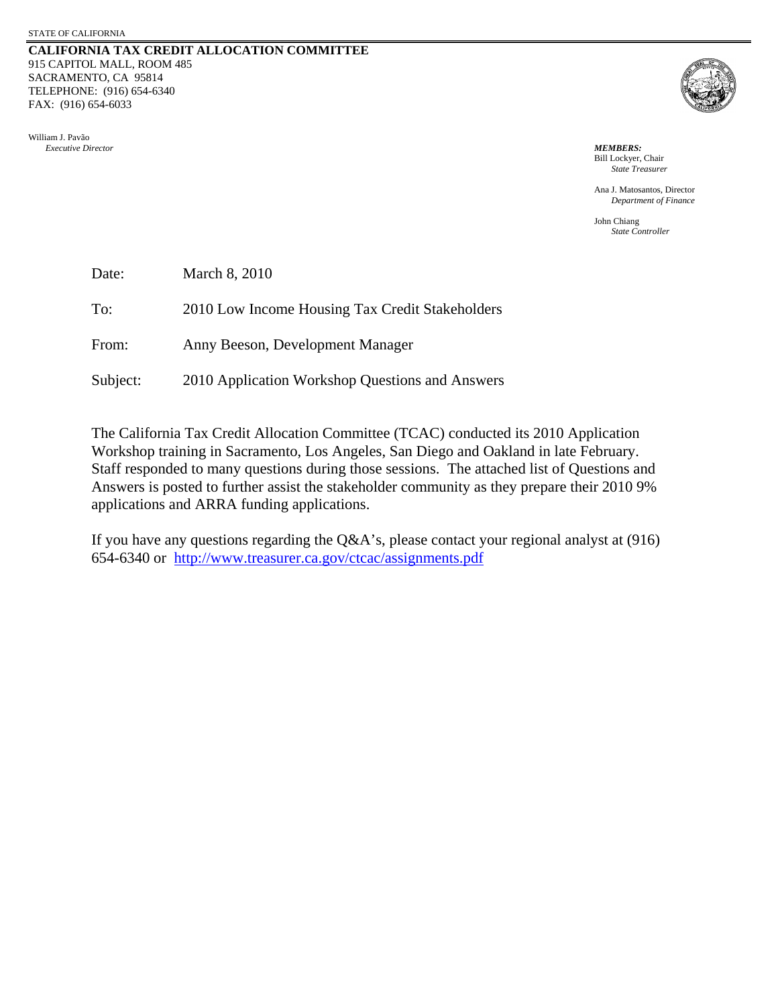#### **CALIFORNIA TAX CREDIT ALLOCATION COMMITTEE** 915 CAPITOL MALL, ROOM 485 SACRAMENTO, CA 95814 TELEPHONE: (916) 654-6340 FAX: (916) 654-6033





 Bill Lockyer, Chair *State Treasurer*

 Ana J. Matosantos, Director *Department of Finance* 

 John Chiang *State Controller*

| Date:    | March 8, 2010                                   |
|----------|-------------------------------------------------|
| To:      | 2010 Low Income Housing Tax Credit Stakeholders |
| From:    | Anny Beeson, Development Manager                |
| Subject: | 2010 Application Workshop Questions and Answers |

The California Tax Credit Allocation Committee (TCAC) conducted its 2010 Application Workshop training in Sacramento, Los Angeles, San Diego and Oakland in late February. Staff responded to many questions during those sessions. The attached list of Questions and Answers is posted to further assist the stakeholder community as they prepare their 2010 9% applications and ARRA funding applications.

If you have any questions regarding the Q&A's, please contact your regional analyst at (916) 654-6340 or <http://www.treasurer.ca.gov/ctcac/assignments.pdf>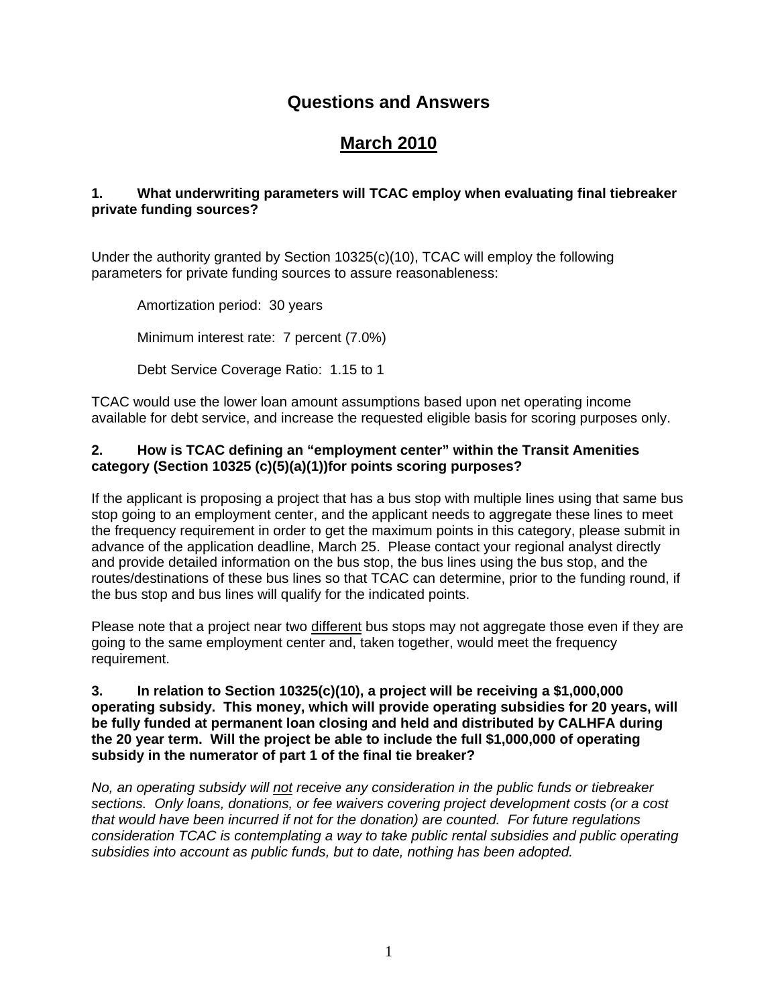## **Questions and Answers**

# **March 2010**

### **1. What underwriting parameters will TCAC employ when evaluating final tiebreaker private funding sources?**

Under the authority granted by Section 10325(c)(10), TCAC will employ the following parameters for private funding sources to assure reasonableness:

Amortization period: 30 years Minimum interest rate: 7 percent (7.0%)

Debt Service Coverage Ratio: 1.15 to 1

TCAC would use the lower loan amount assumptions based upon net operating income available for debt service, and increase the requested eligible basis for scoring purposes only.

#### **2. How is TCAC defining an "employment center" within the Transit Amenities category (Section 10325 (c)(5)(a)(1))for points scoring purposes?**

If the applicant is proposing a project that has a bus stop with multiple lines using that same bus stop going to an employment center, and the applicant needs to aggregate these lines to meet the frequency requirement in order to get the maximum points in this category, please submit in advance of the application deadline, March 25. Please contact your regional analyst directly and provide detailed information on the bus stop, the bus lines using the bus stop, and the routes/destinations of these bus lines so that TCAC can determine, prior to the funding round, if the bus stop and bus lines will qualify for the indicated points.

Please note that a project near two different bus stops may not aggregate those even if they are going to the same employment center and, taken together, would meet the frequency requirement.

#### **3. In relation to Section 10325(c)(10), a project will be receiving a \$1,000,000 operating subsidy. This money, which will provide operating subsidies for 20 years, will be fully funded at permanent loan closing and held and distributed by CALHFA during the 20 year term. Will the project be able to include the full \$1,000,000 of operating subsidy in the numerator of part 1 of the final tie breaker?**

*No, an operating subsidy will not receive any consideration in the public funds or tiebreaker sections. Only loans, donations, or fee waivers covering project development costs (or a cost that would have been incurred if not for the donation) are counted. For future regulations consideration TCAC is contemplating a way to take public rental subsidies and public operating subsidies into account as public funds, but to date, nothing has been adopted.*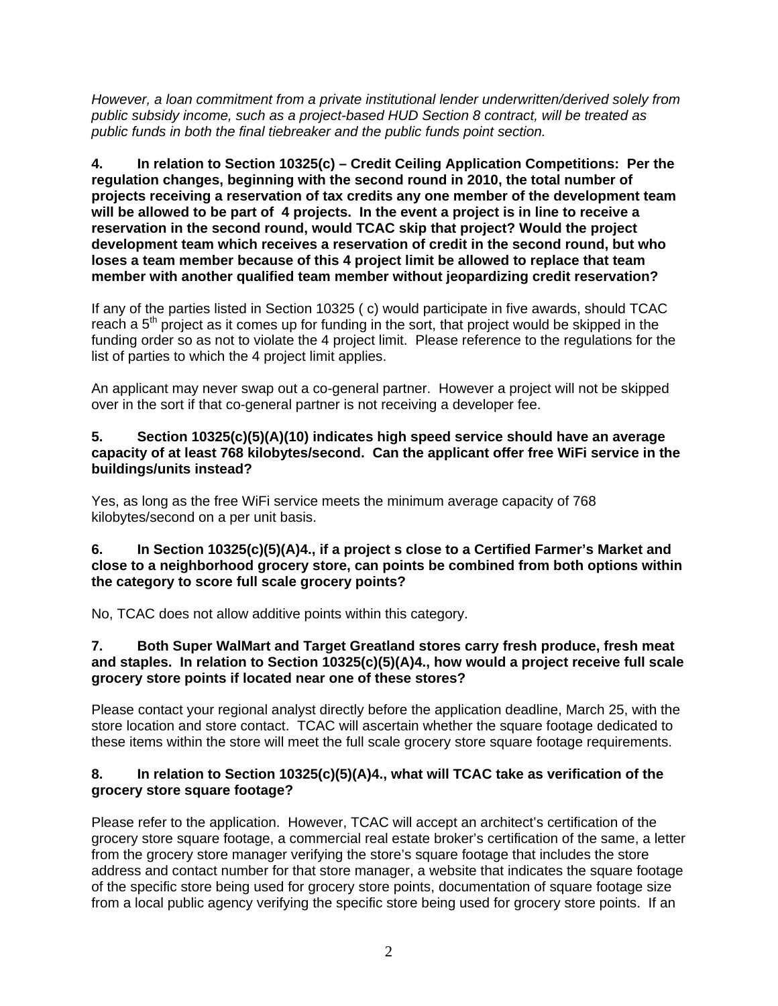*However, a loan commitment from a private institutional lender underwritten/derived solely from public subsidy income, such as a project-based HUD Section 8 contract, will be treated as public funds in both the final tiebreaker and the public funds point section.* 

**4. In relation to Section 10325(c) – Credit Ceiling Application Competitions: Per the regulation changes, beginning with the second round in 2010, the total number of projects receiving a reservation of tax credits any one member of the development team will be allowed to be part of 4 projects. In the event a project is in line to receive a reservation in the second round, would TCAC skip that project? Would the project development team which receives a reservation of credit in the second round, but who loses a team member because of this 4 project limit be allowed to replace that team member with another qualified team member without jeopardizing credit reservation?** 

If any of the parties listed in Section 10325 ( c) would participate in five awards, should TCAC reach a  $5<sup>th</sup>$  project as it comes up for funding in the sort, that project would be skipped in the funding order so as not to violate the 4 project limit. Please reference to the regulations for the list of parties to which the 4 project limit applies.

An applicant may never swap out a co-general partner. However a project will not be skipped over in the sort if that co-general partner is not receiving a developer fee.

#### **5. Section 10325(c)(5)(A)(10) indicates high speed service should have an average capacity of at least 768 kilobytes/second. Can the applicant offer free WiFi service in the buildings/units instead?**

Yes, as long as the free WiFi service meets the minimum average capacity of 768 kilobytes/second on a per unit basis.

#### **6. In Section 10325(c)(5)(A)4., if a project s close to a Certified Farmer's Market and close to a neighborhood grocery store, can points be combined from both options within the category to score full scale grocery points?**

No, TCAC does not allow additive points within this category.

#### **7. Both Super WalMart and Target Greatland stores carry fresh produce, fresh meat and staples. In relation to Section 10325(c)(5)(A)4., how would a project receive full scale grocery store points if located near one of these stores?**

Please contact your regional analyst directly before the application deadline, March 25, with the store location and store contact. TCAC will ascertain whether the square footage dedicated to these items within the store will meet the full scale grocery store square footage requirements.

#### **8. In relation to Section 10325(c)(5)(A)4., what will TCAC take as verification of the grocery store square footage?**

Please refer to the application. However, TCAC will accept an architect's certification of the grocery store square footage, a commercial real estate broker's certification of the same, a letter from the grocery store manager verifying the store's square footage that includes the store address and contact number for that store manager, a website that indicates the square footage of the specific store being used for grocery store points, documentation of square footage size from a local public agency verifying the specific store being used for grocery store points. If an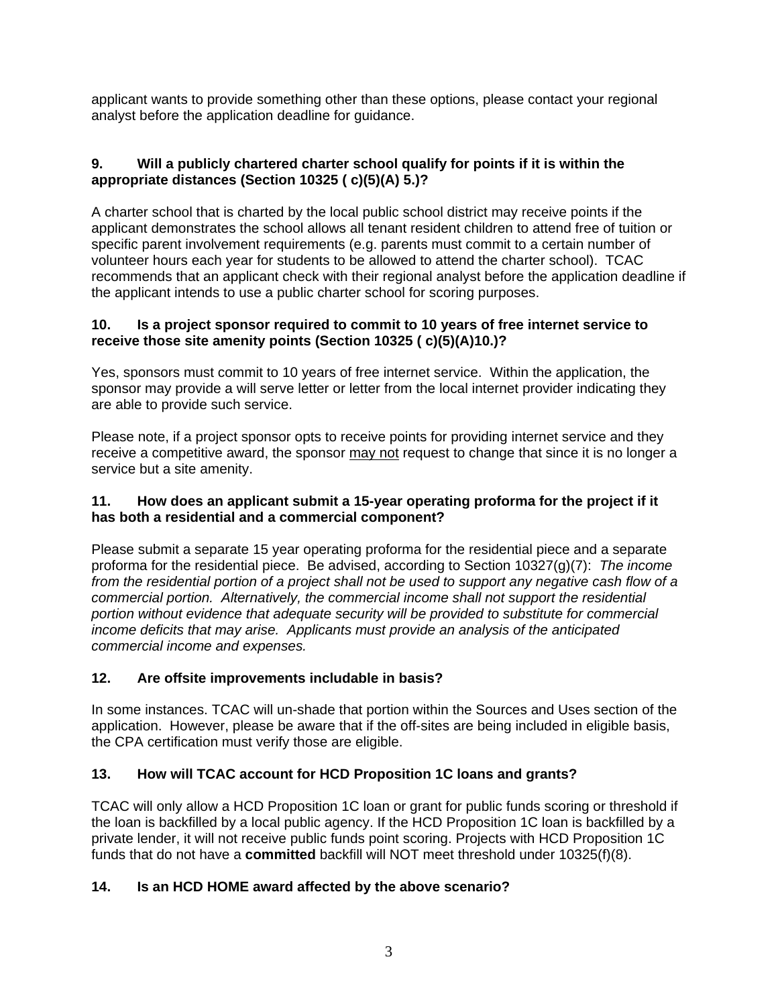applicant wants to provide something other than these options, please contact your regional analyst before the application deadline for guidance.

## **9. Will a publicly chartered charter school qualify for points if it is within the appropriate distances (Section 10325 ( c)(5)(A) 5.)?**

A charter school that is charted by the local public school district may receive points if the applicant demonstrates the school allows all tenant resident children to attend free of tuition or specific parent involvement requirements (e.g. parents must commit to a certain number of volunteer hours each year for students to be allowed to attend the charter school). TCAC recommends that an applicant check with their regional analyst before the application deadline if the applicant intends to use a public charter school for scoring purposes.

### **10. Is a project sponsor required to commit to 10 years of free internet service to receive those site amenity points (Section 10325 ( c)(5)(A)10.)?**

Yes, sponsors must commit to 10 years of free internet service. Within the application, the sponsor may provide a will serve letter or letter from the local internet provider indicating they are able to provide such service.

Please note, if a project sponsor opts to receive points for providing internet service and they receive a competitive award, the sponsor may not request to change that since it is no longer a service but a site amenity.

### **11. How does an applicant submit a 15-year operating proforma for the project if it has both a residential and a commercial component?**

Please submit a separate 15 year operating proforma for the residential piece and a separate proforma for the residential piece. Be advised, according to Section 10327(g)(7): *The income from the residential portion of a project shall not be used to support any negative cash flow of a commercial portion. Alternatively, the commercial income shall not support the residential portion without evidence that adequate security will be provided to substitute for commercial income deficits that may arise. Applicants must provide an analysis of the anticipated commercial income and expenses.* 

## **12. Are offsite improvements includable in basis?**

In some instances. TCAC will un-shade that portion within the Sources and Uses section of the application. However, please be aware that if the off-sites are being included in eligible basis, the CPA certification must verify those are eligible.

## **13. How will TCAC account for HCD Proposition 1C loans and grants?**

TCAC will only allow a HCD Proposition 1C loan or grant for public funds scoring or threshold if the loan is backfilled by a local public agency. If the HCD Proposition 1C loan is backfilled by a private lender, it will not receive public funds point scoring. Projects with HCD Proposition 1C funds that do not have a **committed** backfill will NOT meet threshold under 10325(f)(8).

## **14. Is an HCD HOME award affected by the above scenario?**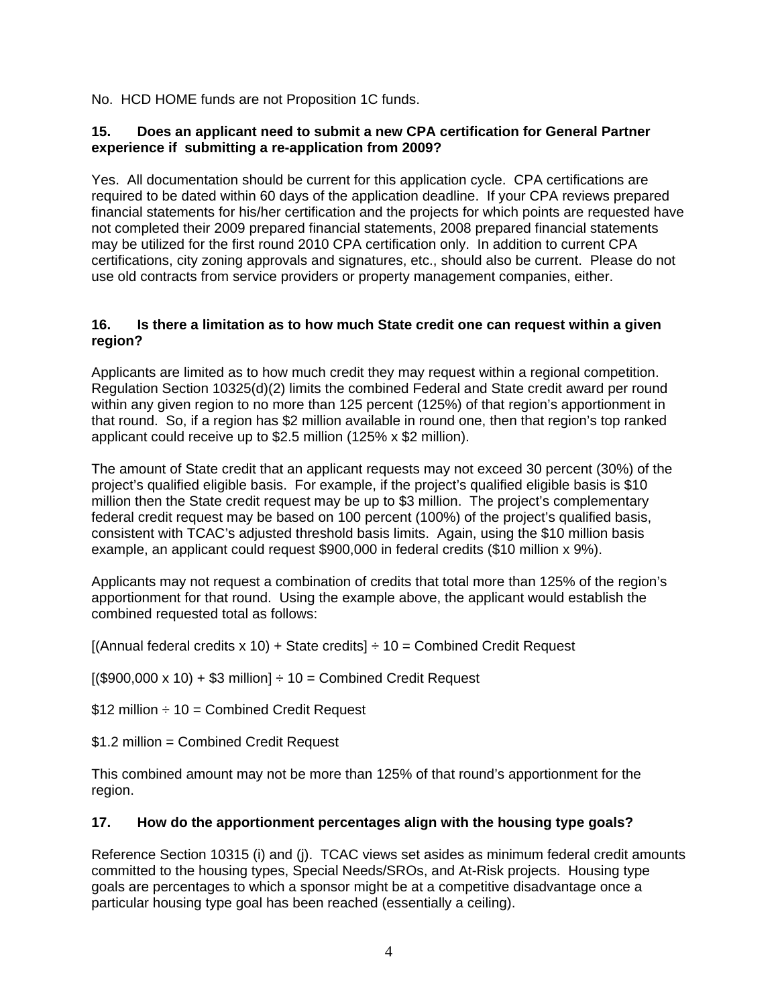No. HCD HOME funds are not Proposition 1C funds.

#### **15. Does an applicant need to submit a new CPA certification for General Partner experience if submitting a re-application from 2009?**

Yes. All documentation should be current for this application cycle. CPA certifications are required to be dated within 60 days of the application deadline. If your CPA reviews prepared financial statements for his/her certification and the projects for which points are requested have not completed their 2009 prepared financial statements, 2008 prepared financial statements may be utilized for the first round 2010 CPA certification only. In addition to current CPA certifications, city zoning approvals and signatures, etc., should also be current. Please do not use old contracts from service providers or property management companies, either.

#### **16. Is there a limitation as to how much State credit one can request within a given region?**

Applicants are limited as to how much credit they may request within a regional competition. Regulation Section 10325(d)(2) limits the combined Federal and State credit award per round within any given region to no more than 125 percent (125%) of that region's apportionment in that round. So, if a region has \$2 million available in round one, then that region's top ranked applicant could receive up to \$2.5 million (125% x \$2 million).

The amount of State credit that an applicant requests may not exceed 30 percent (30%) of the project's qualified eligible basis. For example, if the project's qualified eligible basis is \$10 million then the State credit request may be up to \$3 million. The project's complementary federal credit request may be based on 100 percent (100%) of the project's qualified basis, consistent with TCAC's adjusted threshold basis limits. Again, using the \$10 million basis example, an applicant could request \$900,000 in federal credits (\$10 million x 9%).

Applicants may not request a combination of credits that total more than 125% of the region's apportionment for that round. Using the example above, the applicant would establish the combined requested total as follows:

 $[(\text{Annual federal credits} \times 10) + \text{State credits}] \div 10 = \text{Combined Credit Request}$ 

 $[($900,000 \times 10) + $3 \text{ million}] \div 10 = \text{Combined Credit Request}$ 

\$12 million  $\div$  10 = Combined Credit Request

\$1.2 million = Combined Credit Request

This combined amount may not be more than 125% of that round's apportionment for the region.

#### **17. How do the apportionment percentages align with the housing type goals?**

Reference Section 10315 (i) and (j). TCAC views set asides as minimum federal credit amounts committed to the housing types, Special Needs/SROs, and At-Risk projects. Housing type goals are percentages to which a sponsor might be at a competitive disadvantage once a particular housing type goal has been reached (essentially a ceiling).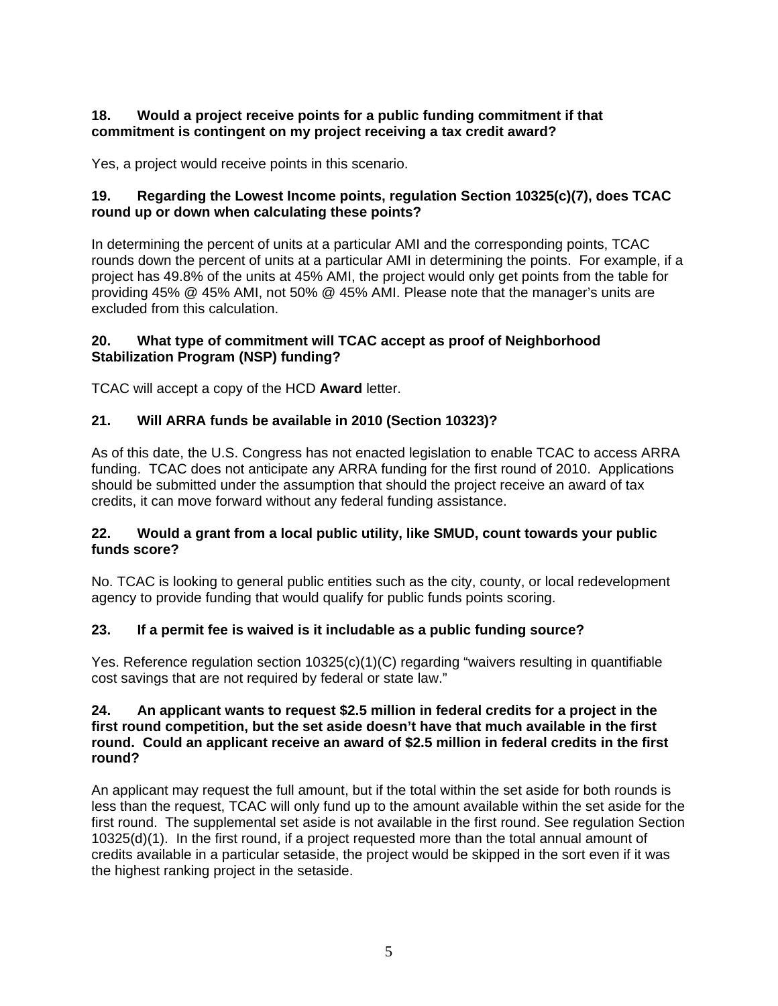#### **18. Would a project receive points for a public funding commitment if that commitment is contingent on my project receiving a tax credit award?**

Yes, a project would receive points in this scenario.

### **19. Regarding the Lowest Income points, regulation Section 10325(c)(7), does TCAC round up or down when calculating these points?**

In determining the percent of units at a particular AMI and the corresponding points, TCAC rounds down the percent of units at a particular AMI in determining the points. For example, if a project has 49.8% of the units at 45% AMI, the project would only get points from the table for providing 45% @ 45% AMI, not 50% @ 45% AMI. Please note that the manager's units are excluded from this calculation.

### **20. What type of commitment will TCAC accept as proof of Neighborhood Stabilization Program (NSP) funding?**

TCAC will accept a copy of the HCD **Award** letter.

## **21. Will ARRA funds be available in 2010 (Section 10323)?**

As of this date, the U.S. Congress has not enacted legislation to enable TCAC to access ARRA funding. TCAC does not anticipate any ARRA funding for the first round of 2010. Applications should be submitted under the assumption that should the project receive an award of tax credits, it can move forward without any federal funding assistance.

### **22. Would a grant from a local public utility, like SMUD, count towards your public funds score?**

No. TCAC is looking to general public entities such as the city, county, or local redevelopment agency to provide funding that would qualify for public funds points scoring.

#### **23. If a permit fee is waived is it includable as a public funding source?**

Yes. Reference regulation section 10325(c)(1)(C) regarding "waivers resulting in quantifiable cost savings that are not required by federal or state law."

#### **24. An applicant wants to request \$2.5 million in federal credits for a project in the first round competition, but the set aside doesn't have that much available in the first round. Could an applicant receive an award of \$2.5 million in federal credits in the first round?**

An applicant may request the full amount, but if the total within the set aside for both rounds is less than the request, TCAC will only fund up to the amount available within the set aside for the first round. The supplemental set aside is not available in the first round. See regulation Section 10325(d)(1). In the first round, if a project requested more than the total annual amount of credits available in a particular setaside, the project would be skipped in the sort even if it was the highest ranking project in the setaside.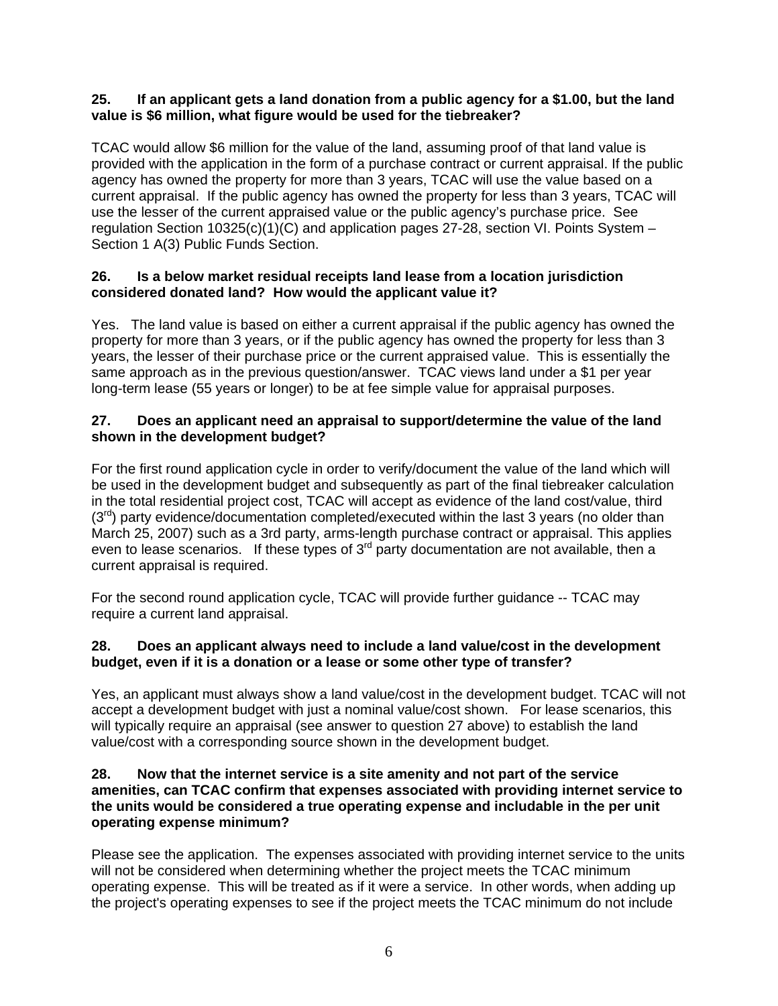#### **25. If an applicant gets a land donation from a public agency for a \$1.00, but the land value is \$6 million, what figure would be used for the tiebreaker?**

TCAC would allow \$6 million for the value of the land, assuming proof of that land value is provided with the application in the form of a purchase contract or current appraisal. If the public agency has owned the property for more than 3 years, TCAC will use the value based on a current appraisal. If the public agency has owned the property for less than 3 years, TCAC will use the lesser of the current appraised value or the public agency's purchase price. See regulation Section 10325(c)(1)(C) and application pages 27-28, section VI. Points System – Section 1 A(3) Public Funds Section.

#### **26. Is a below market residual receipts land lease from a location jurisdiction considered donated land? How would the applicant value it?**

Yes. The land value is based on either a current appraisal if the public agency has owned the property for more than 3 years, or if the public agency has owned the property for less than 3 years, the lesser of their purchase price or the current appraised value. This is essentially the same approach as in the previous question/answer. TCAC views land under a \$1 per year long-term lease (55 years or longer) to be at fee simple value for appraisal purposes.

#### **27. Does an applicant need an appraisal to support/determine the value of the land shown in the development budget?**

For the first round application cycle in order to verify/document the value of the land which will be used in the development budget and subsequently as part of the final tiebreaker calculation in the total residential project cost, TCAC will accept as evidence of the land cost/value, third  $(3<sup>rd</sup>)$  party evidence/documentation completed/executed within the last 3 years (no older than March 25, 2007) such as a 3rd party, arms-length purchase contract or appraisal. This applies even to lease scenarios. If these types of 3<sup>rd</sup> party documentation are not available, then a current appraisal is required.

For the second round application cycle, TCAC will provide further guidance -- TCAC may require a current land appraisal.

#### **28. Does an applicant always need to include a land value/cost in the development budget, even if it is a donation or a lease or some other type of transfer?**

Yes, an applicant must always show a land value/cost in the development budget. TCAC will not accept a development budget with just a nominal value/cost shown. For lease scenarios, this will typically require an appraisal (see answer to question 27 above) to establish the land value/cost with a corresponding source shown in the development budget.

#### **28. Now that the internet service is a site amenity and not part of the service amenities, can TCAC confirm that expenses associated with providing internet service to the units would be considered a true operating expense and includable in the per unit operating expense minimum?**

Please see the application. The expenses associated with providing internet service to the units will not be considered when determining whether the project meets the TCAC minimum operating expense. This will be treated as if it were a service. In other words, when adding up the project's operating expenses to see if the project meets the TCAC minimum do not include